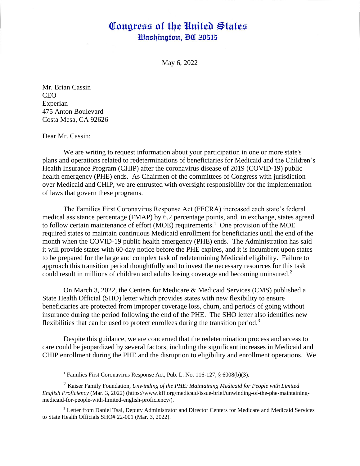## Congress of the United States Washington, DC 20515

May 6, 2022

Mr. Brian Cassin CEO Experian 475 Anton Boulevard Costa Mesa, CA 92626

Dear Mr. Cassin:

We are writing to request information about your participation in one or more state's plans and operations related to redeterminations of beneficiaries for Medicaid and the Children's Health Insurance Program (CHIP) after the coronavirus disease of 2019 (COVID-19) public health emergency (PHE) ends. As Chairmen of the committees of Congress with jurisdiction over Medicaid and CHIP, we are entrusted with oversight responsibility for the implementation of laws that govern these programs.

The Families First Coronavirus Response Act (FFCRA) increased each state's federal medical assistance percentage (FMAP) by 6.2 percentage points, and, in exchange, states agreed to follow certain maintenance of effort (MOE) requirements.<sup>1</sup> One provision of the MOE required states to maintain continuous Medicaid enrollment for beneficiaries until the end of the month when the COVID-19 public health emergency (PHE) ends. The Administration has said it will provide states with 60-day notice before the PHE expires, and it is incumbent upon states to be prepared for the large and complex task of redetermining Medicaid eligibility. Failure to approach this transition period thoughtfully and to invest the necessary resources for this task could result in millions of children and adults losing coverage and becoming uninsured.<sup>2</sup>

On March 3, 2022, the Centers for Medicare & Medicaid Services (CMS) published a State Health Official (SHO) letter which provides states with new flexibility to ensure beneficiaries are protected from improper coverage loss, churn, and periods of going without insurance during the period following the end of the PHE. The SHO letter also identifies new flexibilities that can be used to protect enrollees during the transition period.<sup>3</sup>

Despite this guidance, we are concerned that the redetermination process and access to care could be jeopardized by several factors, including the significant increases in Medicaid and CHIP enrollment during the PHE and the disruption to eligibility and enrollment operations. We

<sup>1</sup> Families First Coronavirus Response Act, Pub. L. No. 116-127, § 6008(b)(3).

<sup>2</sup> Kaiser Family Foundation, *Unwinding of the PHE: Maintaining Medicaid for People with Limited English Proficiency* (Mar. 3, 2022) (https://www.kff.org/medicaid/issue-brief/unwinding-of-the-phe-maintainingmedicaid-for-people-with-limited-english-proficiency/).

<sup>&</sup>lt;sup>3</sup> Letter from Daniel Tsai, Deputy Administrator and Director Centers for Medicare and Medicaid Services to State Health Officials SHO# 22-001 (Mar. 3, 2022).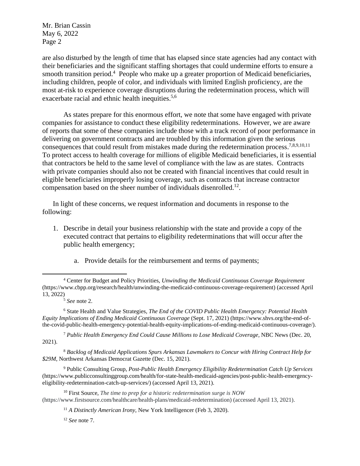Mr. Brian Cassin May 6, 2022 Page 2

are also disturbed by the length of time that has elapsed since state agencies had any contact with their beneficiaries and the significant staffing shortages that could undermine efforts to ensure a smooth transition period.<sup>4</sup> People who make up a greater proportion of Medicaid beneficiaries, including children, people of color, and individuals with limited English proficiency, are the most at-risk to experience coverage disruptions during the redetermination process, which will exacerbate racial and ethnic health inequities.<sup>5,6</sup>

As states prepare for this enormous effort, we note that some have engaged with private companies for assistance to conduct these eligibility redeterminations. However, we are aware of reports that some of these companies include those with a track record of poor performance in delivering on government contracts and are troubled by this information given the serious consequences that could result from mistakes made during the redetermination process.<sup>7,8,9,10,11</sup> To protect access to health coverage for millions of eligible Medicaid beneficiaries, it is essential that contractors be held to the same level of compliance with the law as are states. Contracts with private companies should also not be created with financial incentives that could result in eligible beneficiaries improperly losing coverage, such as contracts that increase contractor compensation based on the sheer number of individuals disenrolled.<sup>12</sup>.

In light of these concerns, we request information and documents in response to the following:

- 1. Describe in detail your business relationship with the state and provide a copy of the executed contract that pertains to eligibility redeterminations that will occur after the public health emergency;
	- a. Provide details for the reimbursement and terms of payments;

<sup>6</sup> State Health and Value Strategies*, The End of the COVID Public Health Emergency: Potential Health Equity Implications of Ending Medicaid Continuous Coverage* (Sept. 17, 2021) (https://www.shvs.org/the-end-ofthe-covid-public-health-emergency-potential-health-equity-implications-of-ending-medicaid-continuous-coverage/).

<sup>7</sup> *Public Health Emergency End Could Cause Millions to Lose Medicaid Coverage,* NBC News (Dec. 20, 2021).

<sup>8</sup> *Backlog of Medicaid Applications Spurs Arkansas Lawmakers to Concur with Hiring Contract Help for \$29M*, Northwest Arkansas Democrat Gazette (Dec. 15, 2021).

<sup>9</sup> Public Consulting Group, *Post-Public Health Emergency Eligibility Redetermination Catch Up Services* (https://www.publicconsultinggroup.com/health/for-state-health-medicaid-agencies/post-public-health-emergencyeligibility-redetermination-catch-up-services/) (accessed April 13, 2021).

<sup>10</sup> First Source, *The time to prep for a historic redetermination surge is NOW* (https://www.firstsource.com/healthcare/health-plans/medicaid-redetermination) (accessed April 13, 2021).

<sup>12</sup> *See* note 7.

<sup>4</sup> Center for Budget and Policy Priorities, *Unwinding the Medicaid Continuous Coverage Requirement* [\(https://www.cbpp.org/research/health/unwinding-the-medicaid-continuous-coverage-requirement\)](https://www.cbpp.org/research/health/unwinding-the-medicaid-continuous-coverage-requirement) (accessed April 13, 2022)

<sup>5</sup> *See* note 2.

<sup>11</sup> *A Distinctly American Irony,* New York Intelligencer (Feb 3, 2020).